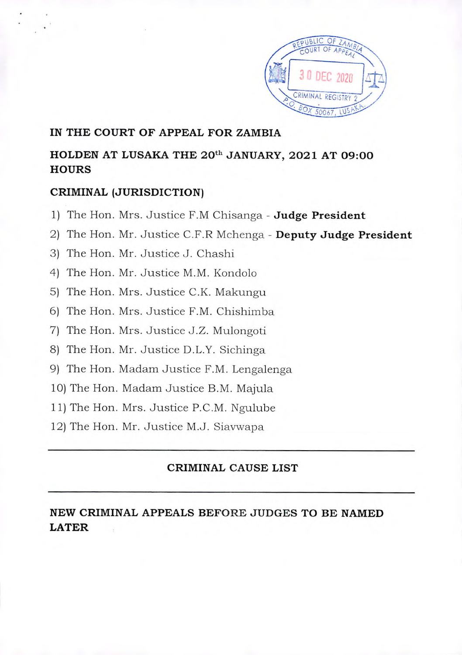

## **IN THE COURT OF APPEAL FOR ZAMBIA**

# **HOLDEN AT LUSAKA THE 201h JANUARY, 2021 AT 09:00 HOURS**

## **CRIMINAL (JURISDICTION)**

- 1) The Hon. Mrs. Justice F.M Chisanga **Judge President**
- 2) The Hon. Mr. Justice C.F.R Mchenga **Deputy Judge President**
- 3) The Hon. Mr. Justice J. Chashi
- 4) The Hon. Mr. Justice M.M. Kondolo
- 5) The Hon. Mrs. Justice C.K. Makungu
- 6) The Hon. Mrs. Justice F.M. Chishimba
- 7) The Hon. Mrs. Justice J.Z. Mulongoti
- 8) The Hon. Mr. Justice D.L.Y. Sichinga
- 9) The Hon. Madam Justice F.M. Lengalenga
- 10) The Hon. Madam Justice B.M. Majula
- 11) The Hon. Mrs. Justice P.C.M. Ngulube
- 12) The Hon. Mr. Justice M.J. Siavwapa

## **CRIMINAL CAUSE LIST**

## **NEW CRIMINAL APPEALS BEFORE JUDGES TO BE NAMED LATER**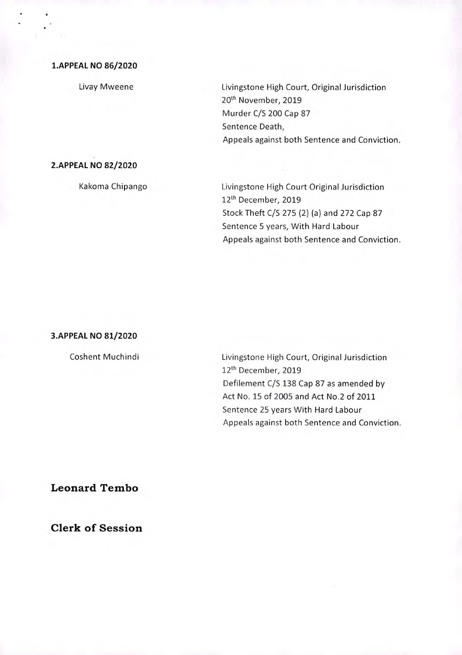### **1.APPEAL NO 86/2020**

Livay Mweene Livingstone High Court, Original Jurisdiction 20th November, 2019 Murder C/S 200 Cap 87 Sentence Death, Appeals against both Sentence and Conviction.

### **2.APPEAL NO 82/2020**

Kakoma Chipango

Livingstone High Court Original Jurisdiction 12<sup>th</sup> December, 2019 Stock Theft C/S 275 (2) (a) and 272 Cap 87 Sentence 5 years, With Hard Labour Appeals against both Sentence and Conviction.

#### **3.APPEAL NO 81/2020**

Coshent Muchindi

Livingstone High Court, Original Jurisdiction 12th December, 2019 Defilement C/S 138 Cap 87 as amended by Act No. 15 of 2005 and Act No.2 of 2011 Sentence 25 years With Hard Labour Appeals against both Sentence and Conviction.

**Leonard Tembo** 

**Clerk of Session**